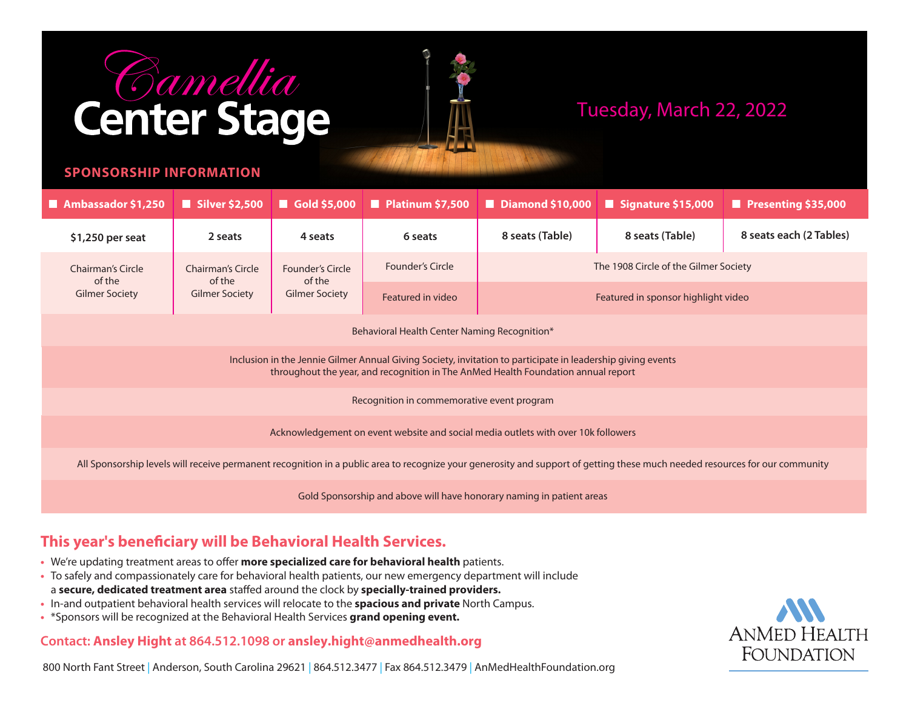# **Camellia**<br>Center Stage



# Tuesday, March 22, 2022

### **SPONSORSHIP INFORMATION**

| Ambassador \$1,250                                                                                                                                                                               | $\blacksquare$ Silver \$2,500                        | $\blacksquare$ Gold \$5,000                                | $\blacksquare$ Platinum \$7,500 | $\blacksquare$ Diamond \$10,000       | $\blacksquare$ Signature \$15,000 | $\blacksquare$ Presenting \$35,000 |  |
|--------------------------------------------------------------------------------------------------------------------------------------------------------------------------------------------------|------------------------------------------------------|------------------------------------------------------------|---------------------------------|---------------------------------------|-----------------------------------|------------------------------------|--|
| \$1,250 per seat                                                                                                                                                                                 | 2 seats                                              | 4 seats                                                    | 6 seats                         | 8 seats (Table)                       | 8 seats (Table)                   | 8 seats each (2 Tables)            |  |
| <b>Chairman's Circle</b><br>of the<br><b>Gilmer Society</b>                                                                                                                                      | Chairman's Circle<br>of the<br><b>Gilmer Society</b> | <b>Founder's Circle</b><br>of the<br><b>Gilmer Society</b> | <b>Founder's Circle</b>         | The 1908 Circle of the Gilmer Society |                                   |                                    |  |
|                                                                                                                                                                                                  |                                                      |                                                            | Featured in video               | Featured in sponsor highlight video   |                                   |                                    |  |
| Behavioral Health Center Naming Recognition*                                                                                                                                                     |                                                      |                                                            |                                 |                                       |                                   |                                    |  |
| Inclusion in the Jennie Gilmer Annual Giving Society, invitation to participate in leadership giving events<br>throughout the year, and recognition in The AnMed Health Foundation annual report |                                                      |                                                            |                                 |                                       |                                   |                                    |  |
| Recognition in commemorative event program                                                                                                                                                       |                                                      |                                                            |                                 |                                       |                                   |                                    |  |
| Acknowledgement on event website and social media outlets with over 10k followers                                                                                                                |                                                      |                                                            |                                 |                                       |                                   |                                    |  |
| All Sponsorship levels will receive permanent recognition in a public area to recognize your generosity and support of getting these much needed resources for our community                     |                                                      |                                                            |                                 |                                       |                                   |                                    |  |
| Gold Sponsorship and above will have honorary naming in patient areas                                                                                                                            |                                                      |                                                            |                                 |                                       |                                   |                                    |  |

## **This year's beneficiary will be Behavioral Health Services.**

- **•** We're updating treatment areas to offer **more specialized care for behavioral health** patients.
- **•** To safely and compassionately care for behavioral health patients, our new emergency department will include a **secure, dedicated treatment area** staffed around the clock by **specially-trained providers.**
- **•** In-and outpatient behavioral health services will relocate to the **spacious and private** North Campus.
- **•** \*Sponsors will be recognized at the Behavioral Health Services **grand opening event.**

## **Contact: Ansley Hight at 864.512.1098 or ansley.hight@anmedhealth.org**



800 North Fant Street | Anderson, South Carolina 29621 | 864.512.3477 | Fax 864.512.3479 | AnMedHealthFoundation.org